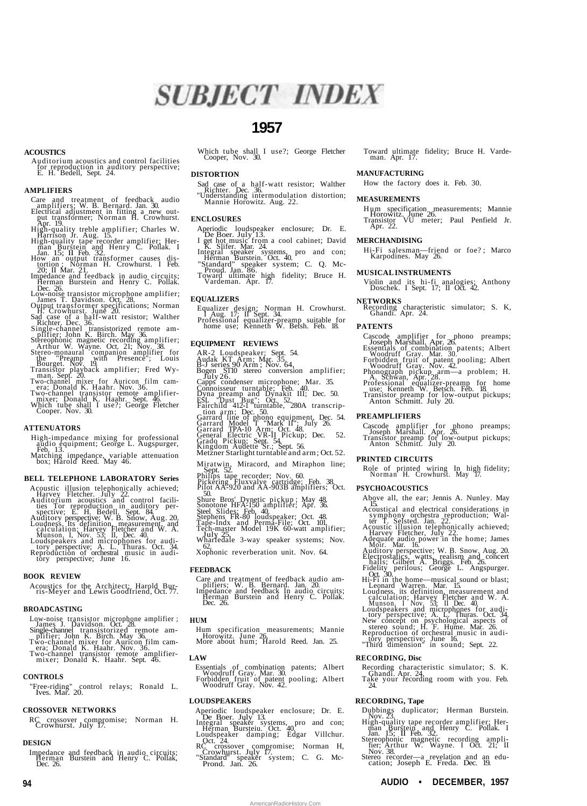

# **1957**

# **ACOUSTICS**

Auditorium acoustics and control facilities for reproduction in auditory perspective; E. H. Bedell, Sept. 24.

# **AMPLIFIERS**

- Care and treatment of feedback audio<br>amplifiers; W. B. Bernard Jan. 30.<br>Electrical adjustment in fitting a new out-<br>put transformer; Norman H. Crowhurst.<br>High-quality treble amplifier; Charles W.<br>Harrison Jr. Aug. 15.<br>High
- 
- 
- 
- 
- 
- 
- 
- 
- 
- James T. Davidson, Oct.<sup>1</sup>28.<br>
Output transformer specifications; Norman<br>
H. Crowhurst, June 20.<br>
Sad case of a half-watt resistor; Walther<br>
Single-channel transistorized remote<br>
Single-channel transistorized remote<br>
Singl
- 
- 
- 

# **ATTENUATORS**

- High-impedance mixing for professional audio equipment; George L. Augspurger, Feb. 13. Matching impedance, variable attenuation box; Harold Reed. May 46.
- 

#### **BELL TELEPHONE LABORATORY Series**

- 
- 
- 
- Acoustic illusion telephonically achieved;<br>Harvey Fletcher. July 22.<br>Auditorium acoustics and control facili-<br>ties Tor reproduction in auditory per-<br>spective; E. H. Bedell, Sept. 84.<br>Auditory perspective; W. B. Show, Aug.

# **BOOK REVIEW**

Acoustics for the Architect; Harold Bur-ris-Meyer and Lewis Goodfriend, Oct. 77.

#### **BROADCASTING**

- Low-noise transistor microphone amplifier ;<br>James J. Davidson. Oct. 28.<br>Single-channel transistorized remote am-<br>plifier; John K. Birch. May 36.<br>Two-channel mixer for Auricon film cam-<br>rera; Donald K. Haahr. Nov. 36.<br>Two-c
- 
- 
- 

# **CONTROLS**

"Free-riding" control relays; Ronald L. Ives. Mar. 20.

### **CROSSOVER NETWORKS**

RC crossover compromise; Norman H. Crowhurst. July 17.

# **DESIGN**

Impedance and feedback in audio circuits; Herman Burstein and Henry C. Pollak, Dec. 26.

Which tube shall I use?; George Fletcher Cooper, Nov. 30.

#### **DISTORTION**

Sad case of a half-watt resistor; Walther Richter. Dec. 36. "Understanding intermodulation distortion; Mannie Horowitz. Aug. 22.

#### **ENCLOSURES**

- Aperiodic loudspeaker enclosure; Dr. E. De Boer. July 13.
- 
- I get hot music from a cool cabinet; David<br>
K. Slifer. Mar. 24.<br>Integral speaker systems, pro and con;<br>
Herman Burstein. Oct. 40.<br>
"Standard" speaker system; C. Q. Mc-<br>
Toward ultimate high fidelity; Bruce H.<br>
Yardeman. Ap
- 
- 

# **EQUALIZERS**

Equalizer design; Norman H. Crowhurst. I Aug. 17; II Sept. 34. Professional equalizer-preamp suitable for home use; Kenneth W. Betsh. Feb. 18.

#### **EQUIPMENT REVIEWS**

- 
- 
- AR-2 Loudspeaker; Sept. 54. Audak KT Arm; Mar. 35. B-J series 90 Arm ; Nov. 64, Bogen ST10 stereo conversion amplifier;
- Fully 26.<br>Capps condenser microphone; Mar. 35.<br>Connoisseur turntable; Feb. 40.<br>Dyna preamp and Dynakit III; Dec. 50.<br>Expression arm, Dec. 50.<br>Fairchild 412-1 turntable, 280A transcrip-<br>tion arm; Dec. 50.<br>Garrard Ineo 5. 50
- 
- 
- 
- 
- 
- 
- Miratwin, Miracord, and Miraphon line;<br>Sept 52 Sept. 52. Philips tape recorder; Nov. 60. Pickering Fluxvalve cartridge; Feb. 38. Pilot AA-920 and AA-903B amplifiers; Oct.
- 
- 
- 
- 
- 
- 
- Solute Bros' Dynetic pickup ; May 48, Solute Bros' Dynetic pickup ; May 48, Score Stocker, Solute Stocker, Stephens FR-80 loudspeaker; Oct. 48, Tape-Indx and Perma-File; Oct. 101<br>Tephens FR-80 loudspeaker; Oct. 48, Tape-In
- Xophonic reverberation unit. Nov. 64.

# **FEEDBACK**

Care and treatment of feedback audio am-plifiers; W. B. Bernard. Jan. 20. Impedance and feedback In audio circuits; Herman Burstein and Henry C. Pollak. Dec. 26.

# **HUM**

Hum specification measurements; Mannie Horowitz. June 26. More about hum; Harold Reed. Jan. 25.

# **LAW**

Essentials of combination patents; Albert Woodruff Gray. Mar. 30. Forbidden fruit of patent pooling; Albert Woodruff Gray. Nov. 42.

# **LOUDSPEAKERS**

- Aperiodic loudspeaker enclosure; Dr. E.
- The Boer: July 13.<br>
Integral speaker systems, pro and con;<br>
Integral speaker systems, pro and con;<br>
De Herman Bursteiu. Oct. 40.<br>
Coudspeaker damping; Edgar Villchur.<br>
RC crossover compromise; Norman H,<br>
Crowhurst. July 17
- 
- 

**94 AUDIO • DECEMBER, 1957**

AmericanRadioHistory.Com

Toward ultimate fidelity; Bruce H. Varde-man. Apr. 17.

#### **MANUFACTURING**

How the factory does it. Feb. 30.

# **MEASUREMENTS**

H um specification measurements; Mannie Horowitz. June 26. Transistor VU meter; Paul Penfield Jr. Transistor<br>Apr. 22.

#### **MERCHANDISING**

Hi-Fi salesman—friend or foe? ; Marco Karpodines. May 26.

#### **MUSICAL INSTRUMENTS**

Violin and its hi-fi analogies; Anthony Doschek. I Sept. 17; II Oct. 42.

**NETWORKS** Recording characteristic simulator; S. K, Ghandi. Apr. 24.

# **PATENTS**

Cascode amplifier for phono preamps;<br>Joseph Marshall. Apr. 26.<br>Essentials of combination patents; Albert<br>Woodruff Gray. Mar. 30.<br>Forbidden fruit of patent pooling; Albert<br>Poloden fruit of patent pooling; Albert<br>Moodruff Gr

- 
- 
- 

# **PREAMPLIFIERS**

**PRINTED CIRCUITS**

**PSYCHOACOUSTICS**

**RECORDING, Disc**

**RECORDING, Tape**

Cascode amplifier for phono preamps; Joseph Marshall. Apr. 26. Transistor preamp for low-output pickups; Anton Schmitt. July 20.

Role of printed wiring In high fidelity; Norman H. Crowhurst. May 17.

Above all, the ear; Jennis A. Nunley. May

15.<br>
15.<br>
15.<br>
Acoustical and electrical considerations in<br>
symphony orchestra reproduction; Wal-<br>
ter T. Selsted. Jan. 22.<br>
Acoustic illusion telephonically achieved;<br>
Harvey Fletcher, July 22.<br>
Adequate audio power in th

Hi-Fi in the home—musical sound or blast;<br>Leonard Warren. Mar. 15.<br>Loudness, its definition, measurement and<br>calculation; Harvey Fletcher and W. A.<br>Munson I Nov. 35; II Dec. 40.<br>Loudspeakers and microphones for audi-<br>tory

Recording characteristic simulator; S. K. Ghandi. Apr. 24. Take your recording room with you. Feb. 24.

Dubbings duplicator; Herman Burstein.<br>High-quality tape recorder amplifier; Herman Burstein and Henry C. Pollak. I<br>Jan. 15; II Feb. 32.<br>Stereophonic magnetic recording ampli-<br>fier, Arthur W. Wayne. I Oct. 21; II<br>fier, Arth